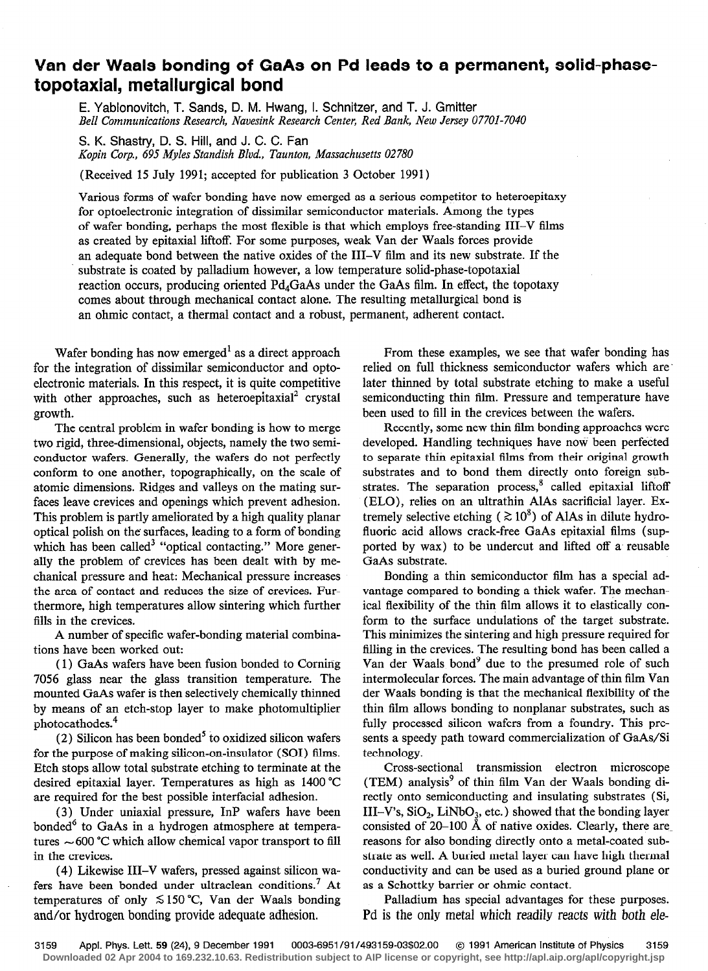## Van der Waals bonding of GaAs on Pd leads to a permanent, solid-phasetopotaxial, metallurgical bond

E. Yablonovitch, T. Sands, D. M. Hwang, 1. Schnitzer, and T. J. Gmitter Bell Communications Research, Navesink Research Center, Red Bank, New Jersey 07701-7040

S. K. Shastry, D. S. Hill, and J. C. C. Fan Kopin Corp., 695 Myles Standish Blvd., Taunton, Massachusetts 02780

(Received 15 July 1991; accepted for publication 3 October 1991)

Various forms of wafer bonding have now emerged as a serious competitor to heteroepitaxy for optoelectronic integration of dissimilar semiconductor materials. Among the types of wafer bonding, perhaps the most flexible is that which employs free-standing III-V films as created by epitaxial liftoff. For some purposes, weak Van der Waals forces provide an adequate bond between the native oxides of the III-V film and its new substrate. If the substrate is coated by palladium however, a low temperature solid-phase-topotaxial reaction occurs, producing oriented  $Pd_AGaAs$  under the GaAs film. In effect, the topotaxy comes about through mechanical contact alone. The resulting metallurgical bond is an ohmic contact, a thermal contact and a robust, permanent, adherent contact.

with other approaches, such as heteroepitaxial<sup>2</sup> crystal semiconducting thin film. Pressure and temperature have growth. been used to fill in the crevices between the wafers.

The central problem in wafer bonding is how to merge two rigid, three-dimensional, objects, namely the two semiconductor wafers. Generally, the wafers do not perfectly conform to one another, topographically, on the scale of atomic dimensions. Ridges and valleys on the mating surfaces leave crevices and openings which prevent adhesion. This problem is partly ameliorated by a high quality planar optical polish on the surfaces, leading to a form of bonding which has been called<sup>3</sup> "optical contacting." More generally the problem of crevices has been dealt with by mechanical pressure and heat: Mechanical pressure increases the area of contact and reduces the size of crevices. Furthermore, high temperatures allow sintering which further fills in the crevices.

A number of specific wafer-bonding material combinations have been worked out:

( 1) GaAs wafers have been fusion bonded to Corning 7056 glass near the glass transition temperature. The mounted GaAs wafer is then selectively chemically thinned by means of an etch-stop layer to make photomultiplier photocathodes.<sup>4</sup>

 $(2)$  Silicon has been bonded<sup>5</sup> to oxidized silicon wafers for the purpose of making silicon-on-insulator (SOI) films. Etch stops allow total substrate etching to terminate at the desired epitaxial layer. Temperatures as high as 1400 "C are required for the best possible interfacial adhesion.

(3) Under uniaxial pressure, InP wafers have been bonded $6$  to GaAs in a hydrogen atmosphere at temperatures  $\sim$  600 °C which allow chemical vapor transport to fill in the crevices.

(4) Likewise III-V wafers, pressed against silicon wafers have been bonded under ultraclean conditions.7 At temperatures of only  $\leq 150$  °C, Van der Waals bonding and/or hydrogen bonding provide adequate adhesion.

Wafer bonding has now emerged<sup>1</sup> as a direct approach From these examples, we see that wafer bonding has for the integration of dissimilar semiconductor and opto- relied on full thickness semiconductor wafers which are electronic materials. In this respect, it is quite competitive later thinned by total substrate etching to make a useful

> Recently, some new thin film bonding approaches were developed. Handling techniques have now been perfected to separate thin epitaxial films from their original growth substrates and to bond them directly onto foreign substrates. The separation process,<sup>8</sup> called epitaxial liftoff (ELO), relies on an ultrathin AlAs sacrificial layer. Extremely selective etching ( $\gtrsim 10^8$ ) of AlAs in dilute hydrofluoric acid allows crack-free GaAs epitaxial films (supported by wax) to be undercut and lifted off a- reusable GaAs substrate.

> Bonding a thin semiconductor film has a special advantage compared to bonding a thick wafer. The mechanical flexibility of the thin film allows it to elastically conform to the surface undulations of the target substrate. This minimizes the sintering and high pressure required for filling in the crevices. The resulting bond has been called a Van der Waals bond<sup>9</sup> due to the presumed role of such intermolecular forces. The main advantage of thin film Van der Waals bonding is that the mechanical flexibility of the thin film allows bonding to nonplanar substrates, such as fully processed silicon wafers from a foundry. This presents a speedy path toward commercialization of GaAs/Si technology.

> Cross-sectional transmission electron microscope (TEM) analysis' of thin film Van der Waals bonding directly onto semiconducting and insulating substrates (Si, III-V's,  $SiO_2$ , LiNbO<sub>3</sub>, etc.) showed that the bonding layer consisted of  $20-100$  Å of native oxides. Clearly, there are reasons for also bonding directly onto a metal-coated substrate as well. A buried metal layer can have high thermal conductivity and can be used as a buried ground plane or as a Schottky barrier or ohmic contact.

> Palladium has special advantages for these purposes. Pd is the only metal which readily reacts with both eie-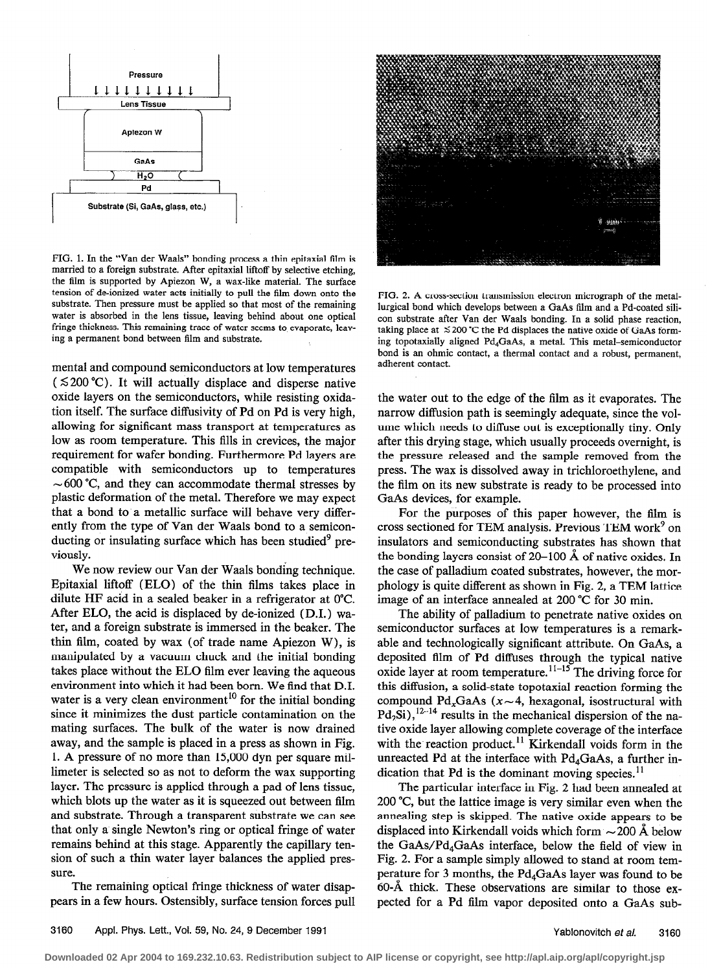

FIG. 1. In the "Van der Waals" bonding process a thin epitaxial film is married to a foreign substrate. After epitaxial liftoff by selective etching, the film is supported by Apiezon W, a wax-like material. The surface tension of de-ionized water acts initially to pull the film down onto the substrate. Then pressure must be applied so that most of the remaining water is absorbed in the lens tissue, leaving behind about one optical fringe thickness. This remaining trace of water scems to evaporate, leaving a permanent bond between film and substrate.

mental and compound semiconductors at low temperatures  $(5200 \degree C)$ . It will actually displace and disperse native oxide layers on the semiconductors, while resisting oxidation itself. The surface diffusivity of Pd on Pd is very high, allowing for significant mass transport at temperatures as low as room temperature. This fills in crevices, the major requirement for wafer bonding. Furthermore Pd layers are compatible with semiconductors up to temperatures  $\sim$  600 °C, and they can accommodate thermal stresses by plastic deformation of the metal. Therefore we may expect that a bond to a metallic surface will behave very differently from the type of Van der Waals bond to a semiconducting or insulating surface which has been studied $9$  previously.

We now review our Van der Waals bonding technique. Epitaxial liftoff (ELO) of the thin films takes place in dilute HF acid in a sealed beaker in a refrigerator at 0°C. After ELO, the acid is displaced by de-ionized (D.I.) water, and a foreign substrate is immersed in the beaker. The thin film, coated by wax (of trade name Apiezon W), is manipulated by a vacuum chuck and the initial bonding takes place without the EL0 film ever leaving the aqueous environment into which it had been born. We find that D.I. water is a very clean environment<sup>10</sup> for the initial bonding since it minimizes the dust particle contamination on the mating surfaces. The bulk of the water is now drained away, and the sample is placed in a press as shown in Fig. 1. A pressure of no more than 15,000 dyn per square millimeter is selected so as not to deform the wax supporting layer. The pressure is applied through a pad of lens tissue, which blots up the water as it is squeezed out between film and substrate. Through a transparent substrate we can see that only a single Newton's ring or optical fringe of water remains behind at this stage. Apparently the capillary tension of such a thin water layer balances the applied pressure.

The remaining optical fringe thickness of water disappears in a few hours. Ostensibly, surface tension forces pull



FIG. 2. A cross-section transmission electron micrograph of the metallurgical bond which develops between a GaAs film and a Pd-coated silicon substrate after Van der Waals bonding. In a solid phase reaction, taking place at  $\leq 200$  °C the Pd displaces the native oxide of GaAs forming topotaxially aligned Pd4GaAs, a metal. This metal-semiconductor bond is an ohmic contact, a thermal contact and a robust, permanent, adherent contact.

the water out to the edge of the film as it evaporates. The narrow diffusion path is seemingly adequate, since the volume which needs to diffuse out is exceptionally tiny. Only after this drying stage, which usually proceeds overnight, is the pressure released and the sample removed from the press. The wax is dissolved away in trichloroethylene, and the film on its new substrate is ready to be processed into GaAs devices, for example.

For the purposes of this paper however, the film is cross sectioned for TEM analysis. Previous TEM work' on insulators and semiconducting substrates has shown that the bonding layers consist of 20-100 A of native oxides. In the case of palladium coated substrates, however, the morphology is quite different as shown in Fig. 2, a TEM lattice image of an interface annealed at 200 "C for 30 min.

The ability of palladium to penetrate native oxides on semiconductor surfaces at low temperatures is a remarkable and technologically significant attribute. On GaAs, a deposited film of Pd diffuses through the typical native oxide layer at room temperature.<sup> $11-15$ </sup> The driving force for this diffusion, a solid-state topotaxial reaction forming the compound Pd<sub>x</sub>GaAs ( $x \sim 4$ , hexagonal, isostructural with  $Pd_2Si$ ),  $12-14$  results in the mechanical dispersion of the native oxide layer allowing complete coverage of the interface with the reaction product.<sup>11</sup> Kirkendall voids form in the unreacted Pd at the interface with  $Pd_4GaAs$ , a further indication that Pd is the dominant moving species. $<sup>11</sup>$ </sup>

The particular interface in Fig. 2 had been annealed at 200 "C, but the lattice image is very similar even when the annealing step is skipped. The native oxide appears to be displaced into Kirkendall voids which form  $\sim$  200 Å below the GaAs/Pd4GaAs interface, below the field of view in Fig. 2. For a sample simply allowed to stand at room temperature for 3 months, the Pd,GaAs layer was found to be 60-A thick. These observations are similar to those expected for a Pd film vapor deposited onto a GaAs sub-